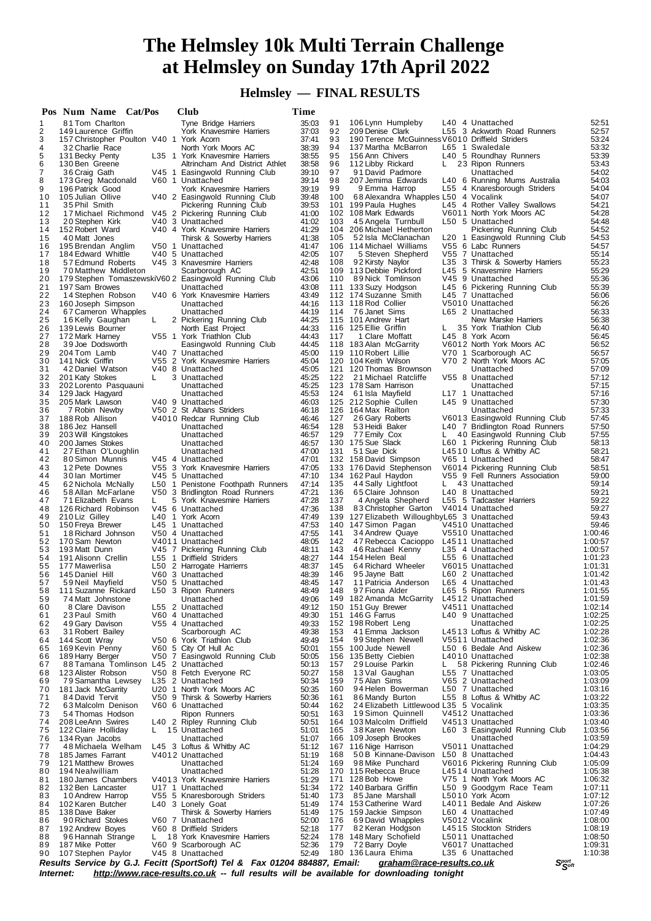## **The Helmsley 10k Multi Terrain Challenge at Helmsley on Sunday 17th April 2022**

## **Helmsley — FINAL RESULTS**

|          | Pos Num Name Cat/Pos                                        |    | Club |                                                                                         | Time           |            |                                                                        |    |                                                                 |                    |
|----------|-------------------------------------------------------------|----|------|-----------------------------------------------------------------------------------------|----------------|------------|------------------------------------------------------------------------|----|-----------------------------------------------------------------|--------------------|
| 1        | 81 Tom Charlton                                             |    |      | Tyne Bridge Harriers                                                                    | 35:03          | 91         | 106 Lynn Humpleby                                                      |    | L40 4 Unattached                                                | 52:51              |
| 2        | 149 Laurence Griffin                                        |    |      | York Knavesmire Harriers                                                                | 37:03          | 92         | 209 Denise Clark                                                       |    | L55 3 Ackworth Road Runners                                     | 52:57              |
| 3<br>4   | 157 Christopher Poulton V40 1 York Acorn<br>32 Charlie Race |    |      | North York Moors AC                                                                     | 37:41<br>38:39 | 93<br>94   | 190 Terence McGuinness V6010 Driffield Striders<br>137 Martha McBarron |    | L65 1 Swaledale                                                 | 53:24<br>53:32     |
| 5        | 131 Becky Penty                                             |    |      | L35 1 York Knavesmire Harriers                                                          | 38:55          | 95         | 156 Ann Chivers                                                        |    | L40 5 Roundhay Runners                                          | 53:39              |
| 6        | 130 Ben Greene                                              |    |      | Altrincham And District Athlet                                                          | 38:58          | 96         | 112 Libby Rickard                                                      | L. | 23 Ripon Runners                                                | 53:43              |
| 7        | 36 Craig Gath                                               |    |      | V45 1 Easingwold Running Club                                                           | 39:10          | 97         | 91 David Padmore                                                       |    | Unattached                                                      | 54:02              |
| 8        | 173 Greg Macdonald                                          |    |      | V60 1 Unattached                                                                        | 39:14          | 98         | 207 Jemima Edwards                                                     |    | L40 6 Running Mums Australia                                    | 54:03              |
| 9<br>10  | 196 Patrick Good<br>105 Julian Ollive                       |    |      | York Knavesmire Harriers                                                                | 39:19<br>39:48 | 99<br>100  | 9 Emma Harrop<br>68 Alexandra Whapples L50 4 Vocalink                  |    | L55 4 Knaresborough Striders                                    | 54:04<br>54:07     |
| 11       | 35 Phil Smith                                               |    |      | V40 2 Easingwold Running Club<br>Pickering Running Club                                 | 39:53          |            | 101 199 Paula Hughes                                                   |    | L45 4 Rother Valley Swallows                                    | 54:21              |
| 12       | 17 Michael Richmond                                         |    |      | V45 2 Pickering Running Club                                                            | 41:00          |            | 102 108 Mark Edwards                                                   |    | V6011 North York Moors AC                                       | 54:28              |
| 13       | 20 Stephen Kirk                                             |    |      | V40 3 Unattached                                                                        | 41:02          | 103        | 45 Angela Turnbull                                                     |    | L50 5 Unattached                                                | 54:48              |
| 14       | 152 Robert Ward                                             |    |      | V40 4 York Knavesmire Harriers                                                          | 41:29          |            | 104 206 Michael Hetherton                                              |    | Pickering Running Club                                          | 54:52              |
| 15       | 40 Matt Jones                                               |    |      | Thirsk & Sowerby Harriers                                                               | 41:38          | 105        | 52 Isla McClanachan                                                    |    | L20 1 Easingwold Running Club                                   | 54:53              |
| 16<br>17 | 195 Brendan Anglim<br>184 Edward Whittle                    |    |      | V50 1 Unattached<br>V40 5 Unattached                                                    | 41:47<br>42:05 | 107        | 106 114 Michael Williams<br>5 Steven Shepherd                          |    | V55 6 Labc Runners<br>V55 7 Unattached                          | 54:57<br>55:14     |
| 18       | 57 Edmund Roberts                                           |    |      | V45 3 Knavesmire Harriers                                                               | 42:48          | 108        | 92 Kirsty Naylor                                                       |    | L35 3 Thirsk & Sowerby Harriers                                 | 55:23              |
| 19       | 70 Matthew Middleton                                        |    |      | Scarborough AC                                                                          | 42:51          |            | 109 113 Debbie Pickford                                                |    | L45 5 Knavesmire Harriers                                       | 55:29              |
| 20       |                                                             |    |      | 179 Stephen TomaszewskiV60 2 Easingwold Running Club                                    | 43:06          | 110        | 89 Nick Tomlinson                                                      |    | V45 9 Unattached                                                | 55:36              |
| 21       | 197 Sam Browes                                              |    |      | Unattached                                                                              | 43:08          |            | 111 133 Suzy Hodgson                                                   |    | L45 6 Pickering Running Club                                    | 55:39              |
| 22       | 14 Stephen Robson                                           |    |      | V40 6 York Knavesmire Harriers                                                          | 43:49          |            | 112 174 Suzanne Smith                                                  |    | L45 7 Unattached                                                | 56:06              |
| 23<br>24 | 160 Joseph Simpson<br>67 Cameron Whapples                   |    |      | Unattached<br>Unattached                                                                | 44:16<br>44:19 | 114        | 113 118 Rod Collier<br>76 Janet Sims                                   |    | V5010 Unattached<br>L65 2 Unattached                            | 56:26<br>56:33     |
| 25       | 16 Kelly Gaughan                                            | L  |      | 2 Pickering Running Club                                                                | 44:25          |            | 115 101 Andrew Hart                                                    |    | New Marske Harriers                                             | 56:38              |
| 26       | 139 Lewis Bourner                                           |    |      | North East Project                                                                      | 44:33          |            | 116 125 Ellie Griffin                                                  | L. | 35 York Triathlon Club                                          | 56:40              |
| 27       | 172 Mark Harney                                             |    |      | V55 1 York Triathlon Club                                                               | 44:43          | 117        | 1 Clare Moffatt                                                        |    | L45 8 York Acorn                                                | 56:45              |
| 28       | 39 Joe Dodsworth                                            |    |      | Easingwold Running Club                                                                 | 44:45          |            | 118 183 Alan McGarrity                                                 |    | V6012 North York Moors AC                                       | 56:52              |
| 29<br>30 | 204 Tom Lamb                                                |    |      | V40 7 Unattached<br>V55 2 York Knavesmire Harriers                                      | 45:00<br>45:04 |            | 119 110 Robert Lillie                                                  |    | V70 1 Scarborough AC<br>V70 2 North York Moors AC               | 56:57              |
| 31       | 141 Nick Griffin<br>42 Daniel Watson                        |    |      | V40 8 Unattached                                                                        | 45:05          |            | 120 104 Keith Wilson<br>121 120 Thomas Brownson                        |    | Unattached                                                      | 57:05<br>57:09     |
| 32       | 201 Katy Stokes                                             | L  |      | 3 Unattached                                                                            | 45:25          | 122        | 21 Michael Ratcliffe                                                   |    | V55 8 Unattached                                                | 57:12              |
| 33       | 202 Lorento Pasquauni                                       |    |      | Unattached                                                                              | 45:25          |            | 123 178 Sam Harrison                                                   |    | Unattached                                                      | 57:15              |
| 34       | 129 Jack Hagyard                                            |    |      | Unattached                                                                              | 45:53          | 124        | 61 Isla Mayfield                                                       |    | L17 1 Unattached                                                | 57:16              |
| 35       | 205 Mark Lawson                                             |    |      | V40 9 Unattached                                                                        | 46:03          |            | 125 212 Sophie Cullen                                                  |    | L45 9 Unattached                                                | 57:30              |
| 36<br>37 | 7 Robin Newby                                               |    |      | V50 2 St Albans Striders                                                                | 46:18          |            | 126 164 Max Railton<br>26 Gary Roberts                                 |    | Unattached                                                      | 57:33<br>57:45     |
| 38       | 188 Rob Allison<br>186 Jez Hansell                          |    |      | V4010 Redcar Running Club<br>Unattached                                                 | 46:46<br>46:54 | 127<br>128 | 53 Heidi Baker                                                         |    | V6013 Easingwold Running Club<br>L40 7 Bridlington Road Runners | 57:50              |
| 39       | 203 Will Kingstokes                                         |    |      | Unattached                                                                              | 46:57          | 129        | 77 Emily Cox                                                           | L. | 40 Easingwold Running Club                                      | 57:55              |
| 40       | 200 James Stokes                                            |    |      | Unattached                                                                              | 46.57          |            | 130 175 Sue Slack                                                      |    | L60 1 Pickering Running Club                                    | 58:13              |
| 41       | 27 Ethan O'Loughlin                                         |    |      | Unattached                                                                              | 47:00          | 131        | 51 Sue Dick                                                            |    | L4510 Loftus & Whitby AC                                        | 58:21              |
| 42       | 80 Simon Munnis                                             |    |      | V45 4 Unattached                                                                        | 47:01          |            | 132 158 David Simpson                                                  |    | V65 1 Unattached                                                | 58:47              |
| 43       | 12 Pete Downes                                              |    |      | V55 3 York Knavesmire Harriers                                                          | 47:05          |            | 133 176 David Stephenson                                               |    | V6014 Pickering Running Club                                    | 58:51              |
| 44<br>45 | 30 Ian Mortimer<br>62 Nichola McNally                       |    |      | V45 5 Unattached<br>L50 1 Penistone Foothpath Runners                                   | 47:10<br>47:14 | 135        | 134 162 Paul Haydon<br>44 Sally Lightfoot                              | L. | V55 9 Fell Runners Association<br>43 Unattached                 | 59:00<br>59:14     |
| 46       | 58 Allan McFarlane                                          |    |      | V50 3 Bridlington Road Runners                                                          | 47:21          | 136        | 65 Claire Johnson                                                      |    | L40 8 Unattached                                                | 59:21              |
| 47       | 71 Elizabeth Evans                                          | L  |      | 5 York Knavesmire Harriers                                                              | 47:28          | 137        | 4 Angela Shepherd                                                      |    | L55 5 Tadcaster Harriers                                        | 59:22              |
| 48       | 126 Richard Robinson                                        |    |      | V45 6 Unattached                                                                        | 47:36          | 138        | 83 Christopher Garton                                                  |    | V4014 Unattached                                                | 59:27              |
| 49       | 210 Liz Gilley                                              |    |      | L40 1 York Acorn                                                                        | 47:49          |            | 139 127 Elizabeth WilloughbyL65 3 Unattached                           |    |                                                                 | 59:43              |
| 50<br>51 | 150 Freya Brewer<br>18 Richard Johnson                      |    |      | L45 1 Unattached<br>V50 4 Unattached                                                    | 47:53<br>47:55 | 140<br>141 | 147 Simon Pagan<br>34 Andrew Quaye                                     |    | V4510 Unattached<br>V5510 Unattached                            | 59:46<br>1:00:46   |
| 52       | 170 Sam Newton                                              |    |      | V4011 Unattached                                                                        | 48:05          | 142        | 47 Rebecca Cacioppo                                                    |    | L4511 Unattached                                                | 1:00:57            |
| 53       | 193 Matt Dunn                                               |    |      | V45 7 Pickering Running Club                                                            | 48:11          | 143        | 46 Rachael Kenny                                                       |    | L35 4 Unattached                                                | 1:00:57            |
| 54       | 191 Alisonn Crellin                                         |    |      | L55 1 Driffield Striders                                                                | 48:27          |            | 144 154 Helen Beal                                                     |    | L55 6 Unattached                                                | 1:01:23            |
| 55       | 177 Mawerlisa                                               |    |      | L50 2 Harrogate Harrierrs                                                               | 48:37          | 145        | 64 Richard Wheeler                                                     |    | V6015 Unattached                                                | 1:01:31            |
| 56       | 145 Daniel Hill                                             |    |      | V60 3 Unattached                                                                        | 48.39          | 146        | 95 Jayne Batt                                                          |    | L60 2 Unattached<br>L65 4 Unattached                            | 1:01:42<br>1:01:43 |
| 57<br>58 | 59 Neil Mayfield<br>111 Suzanne Rickard                     |    |      | V50 5 Unattached<br>L50 3 Ripon Runners                                                 | 48:45<br>48:49 | 147<br>148 | 11 Patricia Anderson<br>97 Fiona Alder                                 |    | L65 5 Ripon Runners                                             | 1:01:55            |
| 59       | 74 Matt Johnstone                                           |    |      | Unattached                                                                              | 49:06          |            | 149 182 Amanda McGarrity L4512 Unattached                              |    |                                                                 | 1:01:59            |
| 60       | 8 Clare Davison                                             |    |      | L55 2 Unattached                                                                        | 49:12          |            | 150 151 Guy Brewer                                                     |    | V4511 Unattached                                                | 1:02:14            |
| 61       | 23 Paul Smith                                               |    |      | V60 4 Unattached                                                                        | 49:30          |            | 151 146 G Farrus                                                       |    | L40 9 Unattached                                                | 1:02:25            |
| 62       | 49 Gary Davison                                             |    |      | V55 4 Unattached                                                                        | 49:33          |            | 152 198 Robert Leng                                                    |    | Unattached                                                      | 1:02:25            |
| 63<br>64 | 31 Robert Bailey                                            |    |      | Scarborough AC                                                                          | 49:38<br>49:49 | 153<br>154 | 41 Emma Jackson<br>99 Stephen Newell                                   |    | L4513 Loftus & Whitby AC<br>V5511 Unattached                    | 1:02:28<br>1:02:36 |
| 65       | 144 Scott Wray<br>169 Kevin Penny                           |    |      | V50 6 York Triathlon Club<br>V60 5 City Of Hull Ac                                      | 50:01          |            | 155 100 Jude Newell                                                    |    | L50 6 Bedale And Aiskew                                         | 1:02:36            |
| 66       | 189 Harry Berger                                            |    |      | V50 7 Easingwold Running Club                                                           | 50:05          |            | 156 135 Betty Ciebien                                                  |    | L4010 Unattached                                                | 1:02:38            |
| 67       | 88 Tamana Tomlinson L45 2 Unattached                        |    |      |                                                                                         | 50:13          | 157        | 29 Louise Parkin                                                       | L. | 58 Pickering Running Club                                       | 1:02:46            |
| 68       | 123 Alister Robson                                          |    |      | V50 8 Fetch Everyone RC                                                                 | 50:27          | 158        | 13 Val Gaughan                                                         |    | L55 7 Unattached                                                | 1:03:05            |
| 69       | 79 Samantha Lewsey                                          |    |      | L35 2 Unattached                                                                        | 50:34          | 159        | 75 Alan Sims                                                           |    | V65 2 Unattached                                                | 1:03:09            |
| 70       | 181 Jack McGarrity<br>84 David Tervit                       |    |      | U20 1 North York Moors AC                                                               | 50:35<br>50:36 | 160<br>161 | 94 Helen Bowerman<br>86 Mandy Burton                                   |    | L50 7 Unattached<br>L55 8 Loftus & Whitby AC                    | 1:03:16<br>1:03:22 |
| 71<br>72 | 63 Malcolm Denison                                          |    |      | V50 9 Thirsk & Sowerby Harriers<br>V60 6 Unattached                                     | 50:44          | 162        | 24 Elizabeth Littlewood L35 5 Vocalink                                 |    |                                                                 | 1:03:35            |
| 73       | 54 Thomas Hodson                                            |    |      | Ripon Runners                                                                           | 50:51          | 163        | 19 Simon Quinnell                                                      |    | V4512 Unattached                                                | 1:03:36            |
| 74       | 208 LeeAnn Swires                                           |    |      | L40 2 Ripley Running Club                                                               | 50:51          |            | 164 103 Malcolm Driffield                                              |    | V4513 Unattached                                                | 1:03:40            |
| 75       | 122 Claire Holliday                                         |    |      | L 15 Unattached                                                                         | 51:01          | 165        | 38 Karen Newton                                                        |    | L60 3 Easingwold Running Club                                   | 1:03:56            |
| 76       | 134 Ryan Jacobs                                             |    |      | Unattached                                                                              | 51:07          |            | 166 109 Joseph Brookes                                                 |    | Unattached                                                      | 1:03:59            |
| 77       | 48 Michaela Welham                                          |    |      | L45 3 Loftus & Whitby AC                                                                | 51:12          |            | 167 116 Nige Harrison                                                  |    | V5011 Unattached                                                | 1:04:29            |
| 78<br>79 | 185 James Farrant<br>121 Matthew Browes                     |    |      | V4012 Unattached<br>Unattached                                                          | 51:19<br>51:24 | 168        | 50B Kinnane-Davison<br>169 98 Mike Punchard                            |    | L50 8 Unattached<br>V6016 Pickering Running Club                | 1:04:43<br>1:05:09 |
| 80       | 194 Nealwilliam                                             |    |      | Unattached                                                                              | 51:28          |            | 170 115 Rebecca Bruce                                                  |    | L4514 Unattached                                                | 1:05:38            |
| 81       | 180 James Chambers                                          |    |      | V4013 York Knavesmire Harriers                                                          | 51:29          |            | 171 128 Bob Howe                                                       |    | V75 1 North York Moors AC                                       | 1:06:32            |
| 82       | 132 Ben Lancaster                                           |    |      | U17 1 Unattached                                                                        | 51:34          |            | 172 140 Barbara Griffin                                                |    | L50 9 Goodgym Race Team                                         | 1:07:11            |
| 83       | 10 Andrew Harrop                                            |    |      | V55 5 Knaresborough Striders                                                            | 51:40          |            | 173 85 Jane Marshall                                                   |    | L5010 York Acorn                                                | 1:07:12            |
| 84       | 102 Karen Butcher                                           |    |      | L40 3 Lonely Goat                                                                       | 51:49          |            | 174 153 Catherine Ward                                                 |    | L4011 Bedale And Aiskew                                         | 1:07:26            |
| 85<br>86 | 138 Dave Baker<br>90 Richard Stokes                         |    |      | Thirsk & Sowerby Harriers<br>V60 7 Unattached                                           | 51:49<br>52:00 | 176        | 175 159 Jackie Simpson<br>69 David Whapples                            |    | L60 4 Unattached<br>V5012 Vocalink                              | 1:07:49<br>1:08:00 |
| 87       | 192 Andrew Boyes                                            |    |      | V60 8 Driffield Striders                                                                | 52:18          |            | 177 82 Keran Hodgson                                                   |    | L4515 Stockton Striders                                         | 1:08:19            |
| 88       | 96 Hannah Strange                                           | L. |      | 18 York Knavesmire Harriers                                                             | 52:24          |            | 178 148 Mary Schofield                                                 |    | L5011 Unattached                                                | 1:08:50            |
| 89       | 187 Mike Potter                                             |    |      | V60 9 Scarborough AC                                                                    | 52:36          | 179        | 72 Barry Doyle                                                         |    | V6017 Unattached                                                | 1:09:31            |
| 90       | 107 Stephen Paylor                                          |    |      | V45 8 Unattached                                                                        | 52:49          |            | 180 136 Laura Ehima                                                    |    | L35 6 Unattached                                                | 1:10:38            |
|          |                                                             |    |      | Results Service by G.J. Fecitt (SportSoft) Tel & Fax 01204 884887, Email:               |                |            | graham@race-results.co.uk                                              |    | $S_{\mathcal{S}^{opt}}^{port}$                                  |                    |
|          | <i>Internet:</i>                                            |    |      | http://www.race-results.co.uk -- full results will be available for downloading tonight |                |            |                                                                        |    |                                                                 |                    |